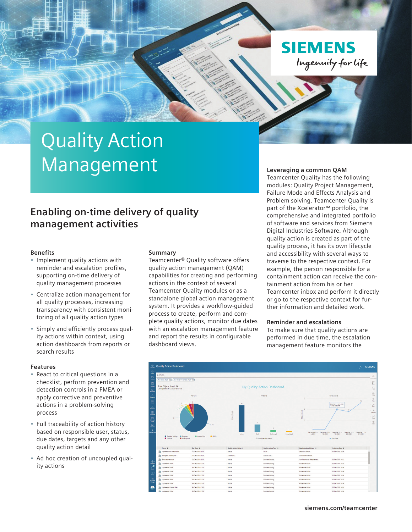**SIEMENS** Ingenuity for Life

# Quality Action Management

### **Enabling on-time delivery of quality management activities**

#### **Benefits**

- Implement quality actions with reminder and escalation profiles, supporting on-time delivery of quality management processes
- Centralize action management for all quality processes, increasing transparency with consistent monitoring of all quality action types
- Simply and efficiently process quality actions within context, using action dashboards from reports or search results

#### **Features**

- React to critical questions in a checklist, perform prevention and detection controls in a FMEA or apply corrective and preventive actions in a problem-solving process
- Full traceability of action history based on responsible user, status, due dates, targets and any other quality action detail
- Ad hoc creation of uncoupled quality actions

#### **Summary**

Teamcenter® Quality software offers quality action management (QAM) capabilities for creating and performing actions in the context of several Teamcenter Quality modules or as a standalone global action management system. It provides a workflow-guided process to create, perform and complete quality actions, monitor due dates with an escalation management feature and report the results in configurable dashboard views.

#### **Leveraging a common QAM**

Teamcenter Quality has the following modules: Quality Project Management, Failure Mode and Effects Analysis and Problem solving. Teamcenter Quality is part of the Xcelerator™ portfolio, the comprehensive and integrated portfolio of software and services from Siemens Digital Industries Software. Although quality action is created as part of the quality process, it has its own lifecycle and accessibility with several ways to traverse to the respective context. For example, the person responsible for a containment action can receive the containment action from his or her Teamcenter inbox and perform it directly or go to the respective context for further information and detailed work.

#### **Reminder and escalations**

To make sure that quality actions are performed in due time, the escalation management feature monitors the



#### **[siemens.com/teamcenter](http://siemens.com/teamcenter)**